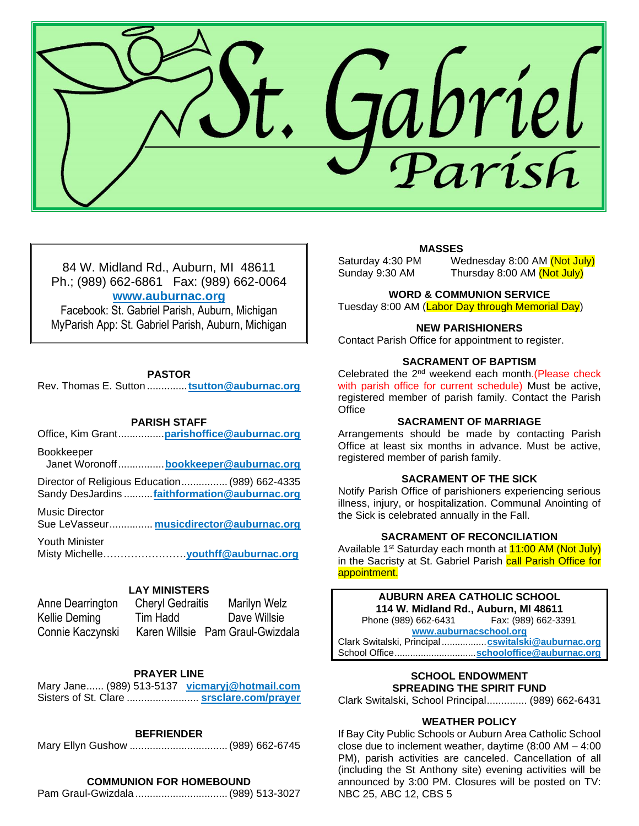

84 W. Midland Rd., Auburn, MI 48611 Ph.; (989) 662-6861 Fax: (989) 662-0064 **[www.auburnac.org](http://www.auburnac.org/)**

Facebook: St. Gabriel Parish, Auburn, Michigan MyParish App: St. Gabriel Parish, Auburn, Michigan

#### **PASTOR**

Rev. Thomas E. Sutton ..............**[tsutton@auburnac.org](mailto:tsutton@auburnac.org)**

#### **PARISH STAFF**

Office, Kim Grant................**[parishoffice@auburnac.org](mailto:parishoffice@auburnac.org)**

Bookkeeper Janet Woronoff................**[bookkeeper@auburnac.org](mailto:bookkeeper@auburnac.org)**

Director of Religious Education................(989) 662-4335 Sandy DesJardins ..........**[faithformation@auburnac.org](mailto:faithformation@auburnac.org)**

Music Director

Sue LeVasseur............... **[musicdirector@auburnac.org](mailto:musicdirector@auburnac.org)**

Youth Minister Misty Michelle……………………**youthff@auburnac.org**

#### **LAY MINISTERS**

| Anne Dearrington | <b>Cheryl Gedraitis</b> | Marilyn Welz                     |
|------------------|-------------------------|----------------------------------|
| Kellie Deming    | Tim Hadd                | Dave Willsie                     |
| Connie Kaczynski |                         | Karen Willsie Pam Graul-Gwizdala |

### **PRAYER LINE**

Mary Jane...... (989) 513-5137 **[vicmaryj@hotmail.com](mailto:vicmaryj@hotmail.com)** Sisters of St. Clare ......................... **srsclare.com/prayer**

## **BEFRIENDER**

Mary Ellyn Gushow ..................................(989) 662-6745

## **COMMUNION FOR HOMEBOUND**

Pam Graul-Gwizdala ................................(989) 513-3027

## **MASSES**

Saturday 4:30 PM Wednesday 8:00 AM (Not July) Sunday 9:30 AM Thursday 8:00 AM (Not July)

#### **WORD & COMMUNION SERVICE**

Tuesday 8:00 AM (Labor Day through Memorial Day)

### **NEW PARISHIONERS**

Contact Parish Office for appointment to register.

## **SACRAMENT OF BAPTISM**

Celebrated the 2<sup>nd</sup> weekend each month.(Please check with parish office for current schedule) Must be active. registered member of parish family. Contact the Parish **Office** 

## **SACRAMENT OF MARRIAGE**

Arrangements should be made by contacting Parish Office at least six months in advance. Must be active, registered member of parish family.

#### **SACRAMENT OF THE SICK**

Notify Parish Office of parishioners experiencing serious illness, injury, or hospitalization. Communal Anointing of the Sick is celebrated annually in the Fall.

#### **SACRAMENT OF RECONCILIATION**

Available 1<sup>st</sup> Saturday each month at **11:00 AM (Not July)** in the Sacristy at St. Gabriel Parish call Parish Office for appointment.

**AUBURN AREA CATHOLIC SCHOOL 114 W. Midland Rd., Auburn, MI 48611** Phone (989) 662-6431 **[www.auburnacschool.org](http://www.auburnacschool.org/)** Clark Switalski, Principal .................**[cswitalski@auburnac.org](mailto:cswitalski@auburnac.org)** School Office...............................**[schooloffice@auburnac.org](mailto:schooloffice@auburnac.org)**

## **SCHOOL ENDOWMENT SPREADING THE SPIRIT FUND**

Clark Switalski, School Principal.............. (989) 662-6431

## **WEATHER POLICY**

If Bay City Public Schools or Auburn Area Catholic School close due to inclement weather, daytime (8:00 AM – 4:00 PM), parish activities are canceled. Cancellation of all (including the St Anthony site) evening activities will be announced by 3:00 PM. Closures will be posted on TV: NBC 25, ABC 12, CBS 5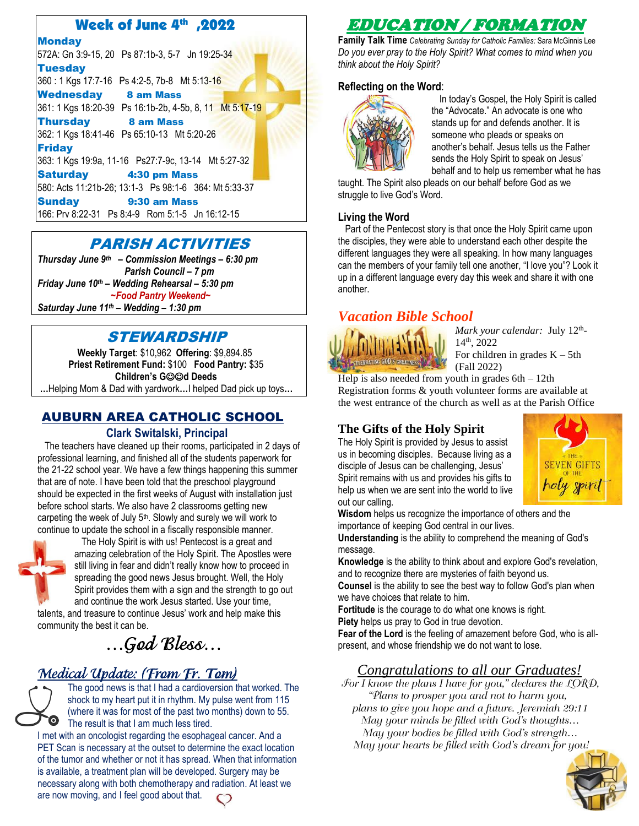## Week of June 4th ,2022

**Monday** 572A: Gn 3:9-15, 20 Ps 87:1b-3, 5-7 Jn 19:25-34 **Tuesday** 360 : 1 Kgs 17:7-16 Ps 4:2-5, 7b-8 Mt 5:13-16 Wednesday 8 am Mass 361: 1 Kgs 18:20-39 Ps 16:1b-2b, 4-5b, 8, 11 Mt 5:17-19 Thursday 8 am Mass 362: 1 Kgs 18:41-46 Ps 65:10-13 Mt 5:20-26 **Friday** 363: 1 Kgs 19:9a, 11-16 Ps27:7-9c, 13-14 Mt 5:27-32 Saturday 4:30 pm Mass 580: Acts 11:21b-26; 13:1-3 Ps 98:1-6 364: Mt 5:33-37 Sunday 9:30 am Mass 166: Prv 8:22-31 Ps 8:4-9 Rom 5:1-5 Jn 16:12-15

## PARISH ACTIVITIES

*Thursday June 9 th – Commission Meetings – 6:30 pm Parish Council – 7 pm Friday June 10th – Wedding Rehearsal – 5:30 pm ~Food Pantry Weekend~ Saturday June 11th – Wedding – 1:30 pm*

## STEWARDSHIP

**Weekly Target**: \$10,962 **Offering**: \$9,894.85  **Priest Retirement Fund:** \$100 **Food Pantry:** \$35 **Children's G**☺☺**d Deeds**

**…**Helping Mom & Dad with yardwork**…**I helped Dad pick up toys**…**

## AUBURN AREA CATHOLIC SCHOOL

## **Clark Switalski, Principal**

 The teachers have cleaned up their rooms, participated in 2 days of professional learning, and finished all of the students paperwork for the 21-22 school year. We have a few things happening this summer that are of note. I have been told that the preschool playground should be expected in the first weeks of August with installation just before school starts. We also have 2 classrooms getting new carpeting the week of July  $5<sup>th</sup>$ . Slowly and surely we will work to continue to update the school in a fiscally responsible manner.



ī

 The Holy Spirit is with us! Pentecost is a great and amazing celebration of the Holy Spirit. The Apostles were still living in fear and didn't really know how to proceed in spreading the good news Jesus brought. Well, the Holy Spirit provides them with a sign and the strength to go out and continue the work Jesus started. Use your time,

talents, and treasure to continue Jesus' work and help make this community the best it can be.

# …God Bless…

## Medical Update: (From Fr. Tom)



The good news is that I had a cardioversion that worked. The shock to my heart put it in rhythm. My pulse went from 115 (where it was for most of the past two months) down to 55. The result is that I am much less tired.

I met with an oncologist regarding the esophageal cancer. And a PET Scan is necessary at the outset to determine the exact location of the tumor and whether or not it has spread. When that information is available, a treatment plan will be developed. Surgery may be necessary along with both chemotherapy and radiation. At least we are now moving, and I feel good about that.

## EDUCATION / FORMATION

**Family Talk Time** *Celebrating Sunday for Catholic Families:* Sara McGinnis Lee *Do you ever pray to the Holy Spirit? What comes to mind when you think about the Holy Spirit?* 

## **Reflecting on the Word**:



 In today's Gospel, the Holy Spirit is called the "Advocate." An advocate is one who stands up for and defends another. It is someone who pleads or speaks on another's behalf. Jesus tells us the Father sends the Holy Spirit to speak on Jesus' behalf and to help us remember what he has

taught. The Spirit also pleads on our behalf before God as we struggle to live God's Word.

## **Living the Word**

 Part of the Pentecost story is that once the Holy Spirit came upon the disciples, they were able to understand each other despite the different languages they were all speaking. In how many languages can the members of your family tell one another, "I love you"? Look it up in a different language every day this week and share it with one another.

## *Vacation Bible School*



Mark your calendar: July 12<sup>th</sup>-14th, 2022 For children in grades  $K - 5th$ (Fall 2022)

Help is also needed from youth in grades  $6th - 12th$ Registration forms & youth volunteer forms are available at the west entrance of the church as well as at the Parish Office

## **The Gifts of the Holy Spirit**

The Holy Spirit is provided by Jesus to assist us in becoming disciples. Because living as a disciple of Jesus can be challenging, Jesus' Spirit remains with us and provides his gifts to help us when we are sent into the world to live out our calling.



**Wisdom** helps us recognize the importance of others and the importance of keeping God central in our lives.

**Understanding** is the ability to comprehend the meaning of God's message.

**Knowledge** is the ability to think about and explore God's revelation, and to recognize there are mysteries of faith beyond us.

**Counsel** is the ability to see the best way to follow God's plan when we have choices that relate to him.

**Fortitude** is the courage to do what one knows is right. **Piety** helps us pray to God in true devotion.

**Fear of the Lord** is the feeling of amazement before God, who is allpresent, and whose friendship we do not want to lose.

## *Congratulations to all our Graduates!*

 $\overline{\mathcal{F}}$ or I know the plans I have for you," declares the LORD, "Plans to prosper you and not to harm you, plans to give you hope and a future. Jeremiah 29:11 May your minds be filled with God's thoughts… May your bodies be filled with God's strength… May your hearts be filled with God's dream for you!

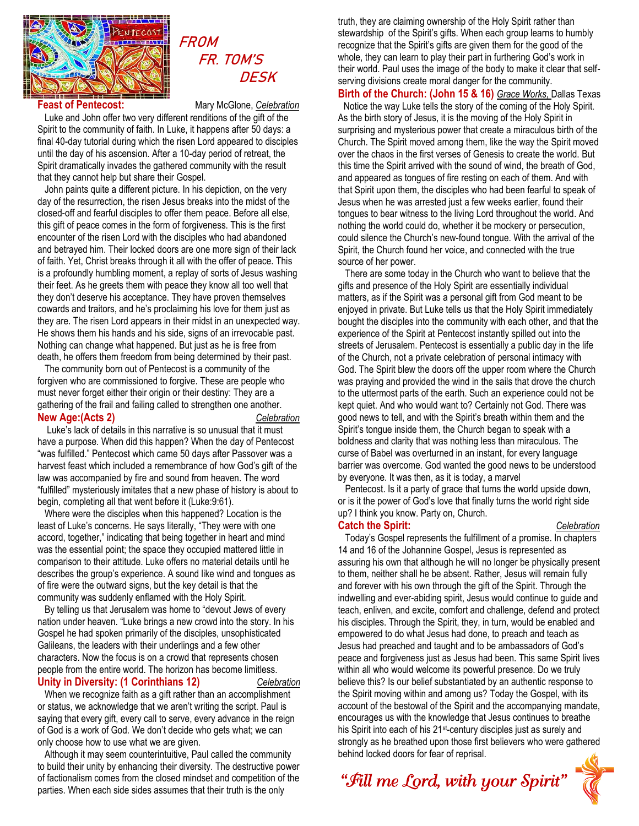

## **FROM**  FR. TOM'S **DESK**

**Feast of Pentecost:** Mary McGlone, *Celebration*

 Luke and John offer two very different renditions of the gift of the Spirit to the community of faith. In Luke, it happens after 50 days: a final 40-day tutorial during which the risen Lord appeared to disciples until the day of his ascension. After a 10-day period of retreat, the Spirit dramatically invades the gathered community with the result that they cannot help but share their Gospel.

 John paints quite a different picture. In his depiction, on the very day of the resurrection, the risen Jesus breaks into the midst of the closed-off and fearful disciples to offer them peace. Before all else, this gift of peace comes in the form of forgiveness. This is the first encounter of the risen Lord with the disciples who had abandoned and betrayed him. Their locked doors are one more sign of their lack of faith. Yet, Christ breaks through it all with the offer of peace. This is a profoundly humbling moment, a replay of sorts of Jesus washing their feet. As he greets them with peace they know all too well that they don't deserve his acceptance. They have proven themselves cowards and traitors, and he's proclaiming his love for them just as they are. The risen Lord appears in their midst in an unexpected way. He shows them his hands and his side, signs of an irrevocable past. Nothing can change what happened. But just as he is free from death, he offers them freedom from being determined by their past.

 The community born out of Pentecost is a community of the forgiven who are commissioned to forgive. These are people who must never forget either their origin or their destiny: They are a gathering of the frail and failing called to strengthen one another. **New Age:(Acts 2)** *Celebration*

 Luke's lack of details in this narrative is so unusual that it must have a purpose. When did this happen? When the day of Pentecost "was fulfilled." Pentecost which came 50 days after Passover was a harvest feast which included a remembrance of how God's gift of the law was accompanied by fire and sound from heaven. The word "fulfilled" mysteriously imitates that a new phase of history is about to begin, completing all that went before it (Luke:9:61).

 Where were the disciples when this happened? Location is the least of Luke's concerns. He says literally, "They were with one accord, together," indicating that being together in heart and mind was the essential point; the space they occupied mattered little in comparison to their attitude. Luke offers no material details until he describes the group's experience. A sound like wind and tongues as of fire were the outward signs, but the key detail is that the community was suddenly enflamed with the Holy Spirit.

 By telling us that Jerusalem was home to "devout Jews of every nation under heaven. "Luke brings a new crowd into the story. In his Gospel he had spoken primarily of the disciples, unsophisticated Galileans, the leaders with their underlings and a few other characters. Now the focus is on a crowd that represents chosen people from the entire world. The horizon has become limitless. **Unity in Diversity: (1 Corinthians 12)** *Celebration*

## When we recognize faith as a gift rather than an accomplishment or status, we acknowledge that we aren't writing the script. Paul is saying that every gift, every call to serve, every advance in the reign of God is a work of God. We don't decide who gets what; we can only choose how to use what we are given.

 Although it may seem counterintuitive, Paul called the community to build their unity by enhancing their diversity. The destructive power of factionalism comes from the closed mindset and competition of the parties. When each side sides assumes that their truth is the only

truth, they are claiming ownership of the Holy Spirit rather than stewardship of the Spirit's gifts. When each group learns to humbly recognize that the Spirit's gifts are given them for the good of the whole, they can learn to play their part in furthering God's work in their world. Paul uses the image of the body to make it clear that selfserving divisions create moral danger for the community.

**Birth of the Church: (John 15 & 16)** *Grace Works,* Dallas Texas Notice the way Luke tells the story of the coming of the Holy Spirit. As the birth story of Jesus, it is the moving of the Holy Spirit in surprising and mysterious power that create a miraculous birth of the Church. The Spirit moved among them, like the way the Spirit moved over the chaos in the first verses of Genesis to create the world. But this time the Spirit arrived with the sound of wind, the breath of God, and appeared as tongues of fire resting on each of them. And with that Spirit upon them, the disciples who had been fearful to speak of Jesus when he was arrested just a few weeks earlier, found their tongues to bear witness to the living Lord throughout the world. And nothing the world could do, whether it be mockery or persecution, could silence the Church's new-found tongue. With the arrival of the Spirit, the Church found her voice, and connected with the true source of her power.

 There are some today in the Church who want to believe that the gifts and presence of the Holy Spirit are essentially individual matters, as if the Spirit was a personal gift from God meant to be enjoyed in private. But Luke tells us that the Holy Spirit immediately bought the disciples into the community with each other, and that the experience of the Spirit at Pentecost instantly spilled out into the streets of Jerusalem. Pentecost is essentially a public day in the life of the Church, not a private celebration of personal intimacy with God. The Spirit blew the doors off the upper room where the Church was praying and provided the wind in the sails that drove the church to the uttermost parts of the earth. Such an experience could not be kept quiet. And who would want to? Certainly not God. There was good news to tell, and with the Spirit's breath within them and the Spirit's tongue inside them, the Church began to speak with a boldness and clarity that was nothing less than miraculous. The curse of Babel was overturned in an instant, for every language barrier was overcome. God wanted the good news to be understood by everyone. It was then, as it is today, a marvel

 Pentecost. Is it a party of grace that turns the world upside down, or is it the power of God's love that finally turns the world right side up? I think you know. Party on, Church. **Catch the Spirit:** *Celebration*

 Today's Gospel represents the fulfillment of a promise. In chapters 14 and 16 of the Johannine Gospel, Jesus is represented as assuring his own that although he will no longer be physically present to them, neither shall he be absent. Rather, Jesus will remain fully and forever with his own through the gift of the Spirit. Through the indwelling and ever-abiding spirit, Jesus would continue to guide and teach, enliven, and excite, comfort and challenge, defend and protect his disciples. Through the Spirit, they, in turn, would be enabled and empowered to do what Jesus had done, to preach and teach as Jesus had preached and taught and to be ambassadors of God's peace and forgiveness just as Jesus had been. This same Spirit lives within all who would welcome its powerful presence. Do we truly believe this? Is our belief substantiated by an authentic response to the Spirit moving within and among us? Today the Gospel, with its account of the bestowal of the Spirit and the accompanying mandate, encourages us with the knowledge that Jesus continues to breathe his Spirit into each of his 21<sup>st-</sup>century disciples just as surely and strongly as he breathed upon those first believers who were gathered behind locked doors for fear of reprisal.

# "Fill me Lord, with your Spirit"